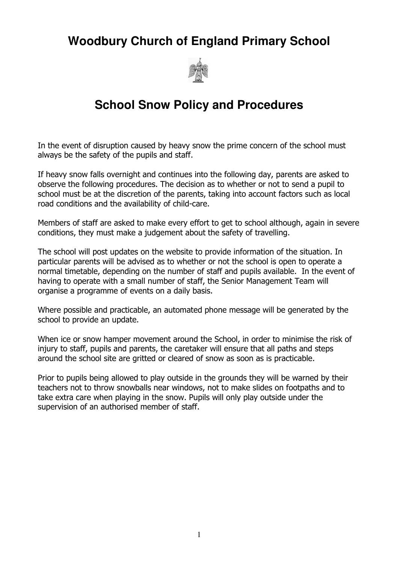# **Woodbury Church of England Primary School**



# **School Snow Policy and Procedures**

In the event of disruption caused by heavy snow the prime concern of the school must always be the safety of the pupils and staff.

If heavy snow falls overnight and continues into the following day, parents are asked to observe the following procedures. The decision as to whether or not to send a pupil to school must be at the discretion of the parents, taking into account factors such as local road conditions and the availability of child-care.

Members of staff are asked to make every effort to get to school although, again in severe conditions, they must make a judgement about the safety of travelling.

The school will post updates on the website to provide information of the situation. In particular parents will be advised as to whether or not the school is open to operate a normal timetable, depending on the number of staff and pupils available. In the event of having to operate with a small number of staff, the Senior Management Team will organise a programme of events on a daily basis.

Where possible and practicable, an automated phone message will be generated by the school to provide an update.

When ice or snow hamper movement around the School, in order to minimise the risk of injury to staff, pupils and parents, the caretaker will ensure that all paths and steps around the school site are gritted or cleared of snow as soon as is practicable.

Prior to pupils being allowed to play outside in the grounds they will be warned by their teachers not to throw snowballs near windows, not to make slides on footpaths and to take extra care when playing in the snow. Pupils will only play outside under the supervision of an authorised member of staff.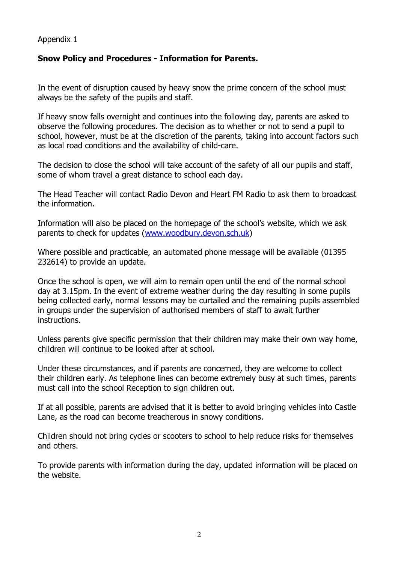#### Appendix 1

### Snow Policy and Procedures - Information for Parents.

In the event of disruption caused by heavy snow the prime concern of the school must always be the safety of the pupils and staff.

If heavy snow falls overnight and continues into the following day, parents are asked to observe the following procedures. The decision as to whether or not to send a pupil to school, however, must be at the discretion of the parents, taking into account factors such as local road conditions and the availability of child-care.

The decision to close the school will take account of the safety of all our pupils and staff, some of whom travel a great distance to school each day.

The Head Teacher will contact Radio Devon and Heart FM Radio to ask them to broadcast the information.

Information will also be placed on the homepage of the school's website, which we ask parents to check for updates (www.woodbury.devon.sch.uk)

Where possible and practicable, an automated phone message will be available (01395 232614) to provide an update.

Once the school is open, we will aim to remain open until the end of the normal school day at 3.15pm. In the event of extreme weather during the day resulting in some pupils being collected early, normal lessons may be curtailed and the remaining pupils assembled in groups under the supervision of authorised members of staff to await further instructions.

Unless parents give specific permission that their children may make their own way home, children will continue to be looked after at school.

Under these circumstances, and if parents are concerned, they are welcome to collect their children early. As telephone lines can become extremely busy at such times, parents must call into the school Reception to sign children out.

If at all possible, parents are advised that it is better to avoid bringing vehicles into Castle Lane, as the road can become treacherous in snowy conditions.

Children should not bring cycles or scooters to school to help reduce risks for themselves and others.

To provide parents with information during the day, updated information will be placed on the website.